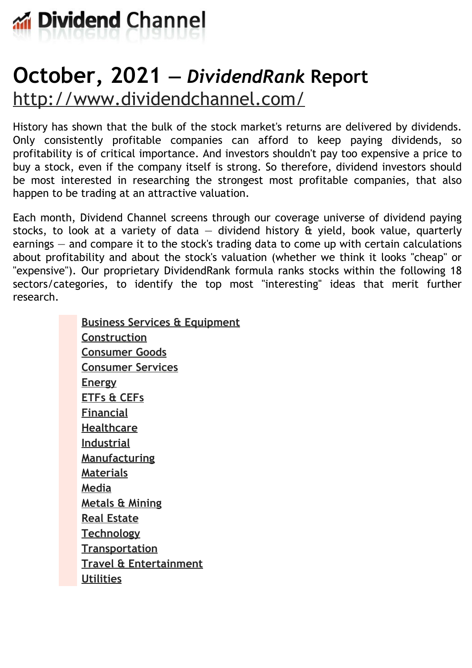

# **October, 2021 —** *DividendRank* **Report** <http://www.dividendchannel.com/>

History has shown that the bulk of the stock market's returns are delivered by dividends. Only consistently profitable companies can afford to keep paying dividends, so profitability is of critical importance. And investors shouldn't pay too expensive a price to buy a stock, even if the company itself is strong. So therefore, dividend investors should be most interested in researching the strongest most profitable companies, that also happen to be trading at an attractive valuation.

Each month, Dividend Channel screens through our coverage universe of dividend paying stocks, to look at a variety of data  $-$  dividend history  $\hat{a}$  yield, book value, quarterly earnings — and compare it to the stock's trading data to come up with certain calculations about profitability and about the stock's valuation (whether we think it looks ''cheap'' or "expensive"). Our proprietary DividendRank formula ranks stocks within the following 18 sectors/categories, to identify the top most ''interesting'' ideas that merit further research.

> **Business Services & [Equipment](file:///root/temp.html#l01) [Construction](file:///root/temp.html#l02) [Consumer](file:///root/temp.html#l03) Goods [Consumer](file:///root/temp.html#l04) Services [Energy](file:///root/temp.html#l05) [ETFs](file:///root/temp.html#l06) & CEFs [Financial](file:///root/temp.html#l07) [Healthcare](file:///root/temp.html#l08) [Industrial](file:///root/temp.html#l09) [Manufacturing](file:///root/temp.html#l10) [Materials](file:///root/temp.html#l11) [Media](file:///root/temp.html#l12) [Metals](file:///root/temp.html#l13) & Mining Real [Estate](file:///root/temp.html#l14) [Technology](file:///root/temp.html#l15) [Transportation](file:///root/temp.html#l16) Travel & [Entertainment](file:///root/temp.html#l17) [Utilities](file:///root/temp.html#l18)**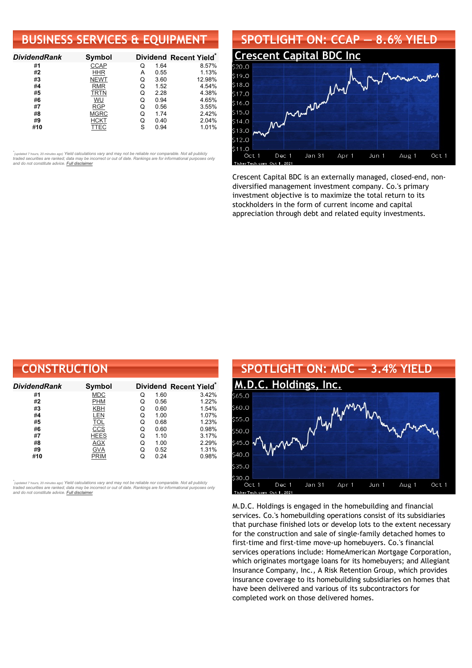### **BUSINESS SERVICES & EQUIPMENT**

| <b>DividendRank</b> | Symbol      |   |      | Dividend Recent Yield* |
|---------------------|-------------|---|------|------------------------|
| #1                  | <b>CCAP</b> | Q | 1.64 | 8.57%                  |
| #2                  | <b>HHR</b>  | А | 0.55 | 1.13%                  |
| #3                  | <b>NEWT</b> | Q | 3.60 | 12.98%                 |
| #4                  | <b>RMR</b>  | Q | 1.52 | 4.54%                  |
| #5                  | TRTN        | Q | 2.28 | 4.38%                  |
| #6                  | WU          | Q | 0.94 | 4.65%                  |
| #7                  | <b>RGP</b>  | Q | 0.56 | 3.55%                  |
| #8                  | <b>MGRC</b> | Q | 1.74 | 2.42%                  |
| #9                  | <b>HCKT</b> | Q | 0.40 | 2.04%                  |
| #10                 | TTEC        | S | 0.94 | 1.01%                  |

•<br>"<sub>(updated 7 hours, 20 minutes ago) Yield calculations vary and may not be reliable nor comparable. Not all publicly<br>traded securities are ranked; data may be incorrect or out of date. Rankings are for informational purp</sub> *and do not constitute advice. Full [disclaimer](https://www.dividendchannel.com/disclaimer/)*



Crescent Capital BDC is an externally managed, closed-end, nondiversified management investment company. Co.'s primary investment objective is to maximize the total return to its stockholders in the form of current income and capital appreciation through debt and related equity investments.

| <b>CONSTRUCTION</b> |             |   |      |                        |
|---------------------|-------------|---|------|------------------------|
| DividendRank        | Symbol      |   |      | Dividend Recent Yield* |
| #1                  | <b>MDC</b>  | Q | 1.60 | 3.42%                  |
| #2                  | <b>PHM</b>  | Q | 0.56 | 1.22%                  |
| #3                  | KBH         | Q | 0.60 | 1.54%                  |
| #4                  | <b>LEN</b>  | Q | 1.00 | 1.07%                  |
| #5                  | <b>TOL</b>  | Q | 0.68 | 1.23%                  |
| #6                  | CCS         | Q | 0.60 | 0.98%                  |
| #7                  | <b>HEES</b> | Q | 1.10 | 3.17%                  |
| #8                  | AGX         | Q | 1.00 | 2.29%                  |
| #9                  | <b>GVA</b>  | Q | 0.52 | 1.31%                  |
| #10                 | <b>PRIM</b> | Q | 0.24 | 0.98%                  |

*\** ated 7 hours, 20 minutes ago) Yield calculations vary and may not be reliable nor comparable. Not all publicly traded securities are ranked; data may be incorrect or out of date. Rankings are for informational purposes only *and do not constitute advice. Full [disclaimer](https://www.dividendchannel.com/disclaimer/)*



M.D.C. Holdings is engaged in the homebuilding and financial services. Co.'s homebuilding operations consist of its subsidiaries that purchase finished lots or develop lots to the extent necessary for the construction and sale of single-family detached homes to first-time and first-time move-up homebuyers. Co.'s financial services operations include: HomeAmerican Mortgage Corporation, which originates mortgage loans for its homebuyers; and Allegiant Insurance Company, Inc., A Risk Retention Group, which provides insurance coverage to its homebuilding subsidiaries on homes that have been delivered and various of its subcontractors for completed work on those delivered homes.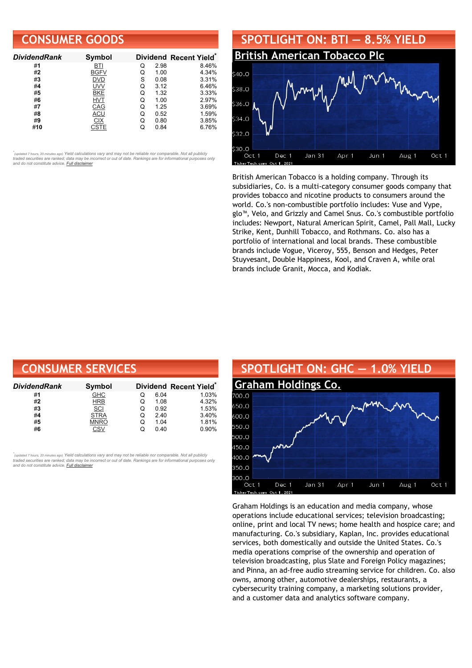### **CONSUMER GOODS**

| <b>DividendRank</b> | Symbol      |   |      | Dividend Recent Yield* |
|---------------------|-------------|---|------|------------------------|
| #1                  | BTI         | Q | 2.98 | 8.46%                  |
| #2                  | <b>BGFV</b> | Q | 1.00 | 4.34%                  |
| #3                  | DVD         | S | 0.08 | 3.31%                  |
| #4                  | <b>UVV</b>  | Q | 3.12 | 6.46%                  |
| #5                  | BKE         | O | 1.32 | 3.33%                  |
| #6                  | <b>HVT</b>  | O | 1.00 | 2.97%                  |
| #7                  | CAG         | Q | 1.25 | 3.69%                  |
| #8                  | ACU         | Q | 0.52 | 1.59%                  |
| #9                  | СIХ         | Q | 0.80 | 3.85%                  |
| #10                 | CSTE        |   | 0.84 | 6.76%                  |

•<br>"<sub>(updated 7 hours, 20 minutes ago) Yield calculations vary and may not be reliable nor comparable. Not all publicly<br>traded securities are ranked; data may be incorrect or out of date. Rankings are for informational purp</sub> *and do not constitute advice. Full [disclaimer](https://www.dividendchannel.com/disclaimer/)*



British American Tobacco is a holding company. Through its subsidiaries, Co. is a multi-category consumer goods company that provides tobacco and nicotine products to consumers around the world. Co.'s non-combustible portfolio includes: Vuse and Vype, glo™, Velo, and Grizzly and Camel Snus. Co.'s combustible portfolio includes: Newport, Natural American Spirit, Camel, Pall Mall, Lucky Strike, Kent, Dunhill Tobacco, and Rothmans. Co. also has a portfolio of international and local brands. These combustible brands include Vogue, Viceroy, 555, Benson and Hedges, Peter Stuyvesant, Double Happiness, Kool, and Craven A, while oral brands include Granit, Mocca, and Kodiak.

| <b>CONSUMER SERVICES</b> |             |   |      |                        |
|--------------------------|-------------|---|------|------------------------|
| DividendRank             | Symbol      |   |      | Dividend Recent Yield* |
| #1                       | <b>GHC</b>  | O | 6.04 | 1.03%                  |
| #2                       | <b>HRB</b>  | Q | 1.08 | 4.32%                  |
| #3                       | SCI         | Q | 0.92 | 1.53%                  |
| #4                       | <b>STRA</b> | Q | 2.40 | 3.40%                  |
| #5                       | <b>MNRO</b> | Q | 1.04 | 1.81%                  |
| #6                       | CSV         | Q | 0.40 | 0.90%                  |

,<br>"<sub>(updated 7 hours, 20 minutes ago) Yield calculations vary and may not be reliable nor comparable. Not all publicly<br>traded securities are ranked; data may be incorrect or out of date. Rankings are for informational purp</sub> *and do not constitute advice. Full [disclaimer](https://www.dividendchannel.com/disclaimer/)*



Graham Holdings is an education and media company, whose operations include educational services; television broadcasting; online, print and local TV news; home health and hospice care; and manufacturing. Co.'s subsidiary, Kaplan, Inc. provides educational services, both domestically and outside the United States. Co.'s media operations comprise of the ownership and operation of television broadcasting, plus Slate and Foreign Policy magazines; and Pinna, an ad-free audio streaming service for children. Co. also owns, among other, automotive dealerships, restaurants, a cybersecurity training company, a marketing solutions provider, and a customer data and analytics software company.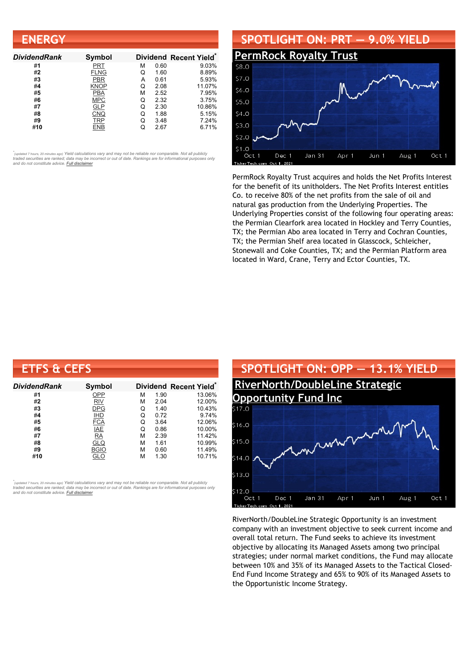| <b>ENERGY</b>       |             |   |      |                                    |
|---------------------|-------------|---|------|------------------------------------|
| <b>DividendRank</b> | Symbol      |   |      | Dividend Recent Yield <sup>®</sup> |
| #1                  | PRT         | м | 0.60 | 9.03%                              |
| #2                  | <b>FLNG</b> | Q | 1.60 | 8.89%                              |
| #3                  | <b>PBR</b>  | А | 0.61 | 5.93%                              |
| #4                  | KNOP        | Q | 2.08 | 11.07%                             |
| #5                  | <b>PBA</b>  | М | 2.52 | 7.95%                              |
| #6                  | <b>MPC</b>  | Q | 2.32 | 3.75%                              |
| #7                  | GLP         | Q | 2.30 | 10.86%                             |
| #8                  | CNQ         | Q | 1.88 | 5.15%                              |
| #9                  | <b>TRP</b>  | Q | 3.48 | 7.24%                              |
| #10                 | <b>ENB</b>  | Q | 2.67 | 6.71%                              |

### **SPOTLIGHT ON: PRT — 9.0% YIELD**



PermRock Royalty Trust acquires and holds the Net Profits Interest for the benefit of its unitholders. The Net Profits Interest entitles Co. to receive 80% of the net profits from the sale of oil and natural gas production from the Underlying Properties. The Underlying Properties consist of the following four operating areas: the Permian Clearfork area located in Hockley and Terry Counties, TX; the Permian Abo area located in Terry and Cochran Counties, TX; the Permian Shelf area located in Glasscock, Schleicher, Stonewall and Coke Counties, TX; and the Permian Platform area located in Ward, Crane, Terry and Ector Counties, TX.

| <b>ETFS &amp; CEFS</b> |             |   |      |                                    |
|------------------------|-------------|---|------|------------------------------------|
| <b>DividendRank</b>    | Symbol      |   |      | Dividend Recent Yield <sup>®</sup> |
| #1                     | OPP         | м | 1.90 | 13.06%                             |
| #2                     | <b>RIV</b>  | м | 2.04 | 12.00%                             |
| #3                     | <b>DPG</b>  | Q | 1.40 | 10.43%                             |
| #4                     | <b>IHD</b>  | Q | 0.72 | 9.74%                              |
| #5                     | <b>FCA</b>  | Q | 3.64 | 12.06%                             |
| #6                     | <b>IAE</b>  | Q | 0.86 | 10.00%                             |
| #7                     | <b>RA</b>   | М | 2.39 | 11.42%                             |
| #8                     | <b>GLQ</b>  | М | 1.61 | 10.99%                             |
| #9                     | <b>BGIO</b> | м | 0.60 | 11.49%                             |
| #10                    | GLO         | м | 1.30 | 10.71%                             |

*\** ated 7 hours, 20 minutes ago) Yield calculations vary and may not be reliable nor comparable. Not all publicly traded securities are ranked; data may be incorrect or out of date. Rankings are for informational purposes only *and do not constitute advice. Full [disclaimer](https://www.dividendchannel.com/disclaimer/)*



RiverNorth/DoubleLine Strategic Opportunity is an investment company with an investment objective to seek current income and overall total return. The Fund seeks to achieve its investment objective by allocating its Managed Assets among two principal strategies; under normal market conditions, the Fund may allocate between 10% and 35% of its Managed Assets to the Tactical Closed-End Fund Income Strategy and 65% to 90% of its Managed Assets to the Opportunistic Income Strategy.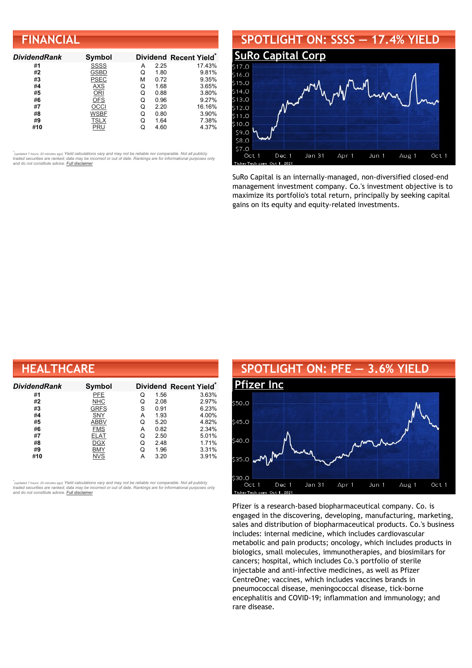### **FINANCIAL**

| <b>DividendRank</b> | Symbol      |   |      | Dividend Recent Yield* |
|---------------------|-------------|---|------|------------------------|
| #1                  | <b>SSSS</b> | A | 2.25 | 17.43%                 |
| #2                  | <b>GSBD</b> | Q | 1.80 | 9.81%                  |
| #3                  | <b>PSEC</b> | м | 0.72 | 9.35%                  |
| #4                  | <b>AXS</b>  | Q | 1.68 | 3.65%                  |
| #5                  | ORI         | Q | 0.88 | 3.80%                  |
| #6                  | <b>OFS</b>  | Q | 0.96 | 9.27%                  |
| #7                  | OCCI        | Q | 2.20 | 16.16%                 |
| #8                  | <b>WSBF</b> | Q | 0.80 | 3.90%                  |
| #9                  | <b>TSLX</b> | Q | 1.64 | 7.38%                  |
| #10                 | PRU         |   | 4.60 | 4.37%                  |

•<br>"<sub>(updated 7 hours, 20 minutes ago) Yield calculations vary and may not be reliable nor comparable. Not all publicly<br>traded securities are ranked; data may be incorrect or out of date. Rankings are for informational purp</sub> *and do not constitute advice. Full [disclaimer](https://www.dividendchannel.com/disclaimer/)*

#### **SPOTLIGHT ON: SSSS — 17.4% YIELD SuRo [Capital](http://www.dividendchannel.com/symbol/ssss/) Corp**  $516.0$  $$15.0$  $$14.0$  $5130$ 512.0  $$11.0$  $$10.0$ \$9.0 \$8.0 \$7.0 Oct 1 Dec 1 Jan 31 Apr 1 Jun 1 Aug 1 Oct 1

SuRo Capital is an internally-managed, non-diversified closed-end management investment company. Co.'s investment objective is to maximize its portfolio's total return, principally by seeking capital gains on its equity and equity-related investments.

| <b>HEALTHCARE</b>   |               |   |      |                        |  |  |
|---------------------|---------------|---|------|------------------------|--|--|
| <b>DividendRank</b> | <b>Symbol</b> |   |      | Dividend Recent Yield* |  |  |
| #1                  | PFE           | Q | 1.56 | 3.63%                  |  |  |
| #2                  | <b>NHC</b>    | Q | 2.08 | 2.97%                  |  |  |
| #3                  | <b>GRFS</b>   | S | 0.91 | 6.23%                  |  |  |
| #4                  | SNY           | А | 1.93 | 4.00%                  |  |  |
| #5                  | <b>ABBV</b>   | Q | 5.20 | 4.82%                  |  |  |
| #6                  | <b>FMS</b>    | А | 0.82 | 2.34%                  |  |  |
| #7                  | <b>ELAT</b>   | Q | 2.50 | 5.01%                  |  |  |
| #8                  | <b>DGX</b>    | Q | 2.48 | 1.71%                  |  |  |
| #9                  | <b>BMY</b>    | Q | 1.96 | 3.31%                  |  |  |
| #10                 | <b>NVS</b>    | А | 3.20 | 3.91%                  |  |  |

,<br>"<sub>(updated 7 hours, 20 minutes ago) Yield calculations vary and may not be reliable nor comparable. Not all publicly<br>traded securities are ranked; data may be incorrect or out of date. Rankings are for informational purp</sub> *and do not constitute advice. Full [disclaimer](https://www.dividendchannel.com/disclaimer/)*



Pfizer is a research-based biopharmaceutical company. Co. is engaged in the discovering, developing, manufacturing, marketing, sales and distribution of biopharmaceutical products. Co.'s business includes: internal medicine, which includes cardiovascular metabolic and pain products; oncology, which includes products in biologics, small molecules, immunotherapies, and biosimilars for cancers; hospital, which includes Co.'s portfolio of sterile injectable and anti-infective medicines, as well as Pfizer CentreOne; vaccines, which includes vaccines brands in pneumococcal disease, meningococcal disease, tick-borne encephalitis and COVID-19; inflammation and immunology; and rare disease.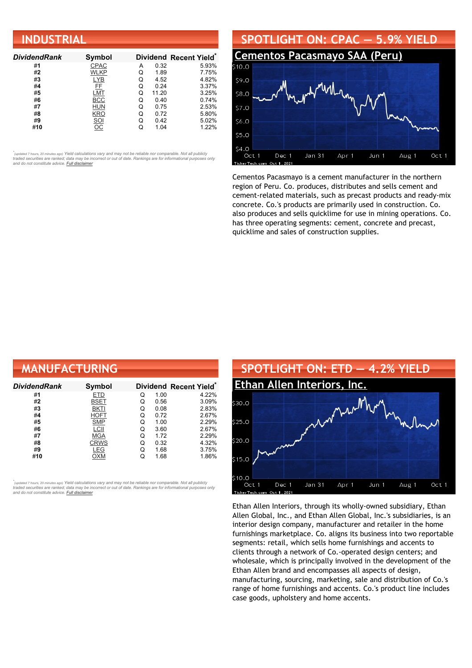| <b>INDUSTRIAL</b>   |                |   |       |                        |  |  |
|---------------------|----------------|---|-------|------------------------|--|--|
| <b>DividendRank</b> | <b>Symbol</b>  |   |       | Dividend Recent Yield* |  |  |
| #1                  | CPAC           | А | 0.32  | 5.93%                  |  |  |
| #2                  | WLKP           | Q | 1.89  | 7.75%                  |  |  |
| #3                  | <b>LYB</b>     | Q | 4.52  | 4.82%                  |  |  |
| #4                  | FF             | Q | 0.24  | 3.37%                  |  |  |
| #5                  | LMT            | Q | 11.20 | 3.25%                  |  |  |
| #6                  | <b>BCC</b>     | Q | 0.40  | 0.74%                  |  |  |
| #7                  | HUN            | Q | 0.75  | 2.53%                  |  |  |
| #8                  | <b>KRO</b>     | Q | 0.72  | 5.80%                  |  |  |
| #9                  |                | Q | 0.42  | 5.02%                  |  |  |
| #10                 | $rac{SOI}{OC}$ | Q | 1.04  | 1.22%                  |  |  |



Cementos Pacasmayo is a cement manufacturer in the northern region of Peru. Co. produces, distributes and sells cement and cement-related materials, such as precast products and ready-mix concrete. Co.'s products are primarily used in construction. Co. also produces and sells quicklime for use in mining operations. Co. has three operating segments: cement, concrete and precast, quicklime and sales of construction supplies.

| <b>MANUFACTURING</b> |               |   |      |                                    |
|----------------------|---------------|---|------|------------------------------------|
| <b>DividendRank</b>  | <b>Symbol</b> |   |      | Dividend Recent Yield <sup>®</sup> |
| #1                   | ETD           | Q | 1.00 | 4.22%                              |
| #2                   | BSET          | Q | 0.56 | 3.09%                              |
| #3                   | <b>BKTI</b>   | Q | 0.08 | 2.83%                              |
| #4                   | HOFT          | Q | 0.72 | 2.67%                              |
| #5                   | <b>SMP</b>    | Q | 1.00 | 2.29%                              |
| #6                   | LCII          | Q | 3.60 | 2.67%                              |
| #7                   | <b>MGA</b>    | Q | 1.72 | 2.29%                              |
| #8                   | <b>CRWS</b>   | Q | 0.32 | 4.32%                              |
| #9                   | LEG           | Q | 1.68 | 3.75%                              |
| #10                  | ОХМ           | Q | 1.68 | 1.86%                              |

*\** ated 7 hours, 20 minutes ago) Yield calculations vary and may not be reliable nor comparable. Not all publicly traded securities are ranked; data may be incorrect or out of date. Rankings are for informational purposes only *and do not constitute advice. Full [disclaimer](https://www.dividendchannel.com/disclaimer/)*



Ethan Allen Interiors, through its wholly-owned subsidiary, Ethan Allen Global, Inc., and Ethan Allen Global, Inc.'s subsidiaries, is an interior design company, manufacturer and retailer in the home furnishings marketplace. Co. aligns its business into two reportable segments: retail, which sells home furnishings and accents to clients through a network of Co.-operated design centers; and wholesale, which is principally involved in the development of the Ethan Allen brand and encompasses all aspects of design, manufacturing, sourcing, marketing, sale and distribution of Co.'s range of home furnishings and accents. Co.'s product line includes case goods, upholstery and home accents.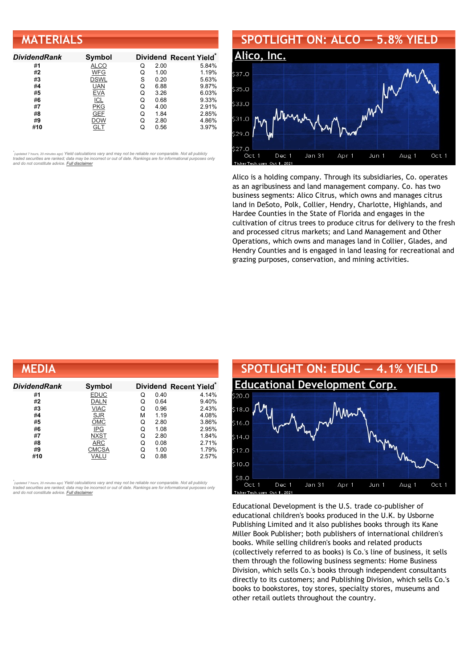| <b>MATERIALS</b>    |             |   |      |                                    |
|---------------------|-------------|---|------|------------------------------------|
| <b>DividendRank</b> | Symbol      |   |      | Dividend Recent Yield <sup>®</sup> |
| #1                  | <b>ALCO</b> | Q | 2.00 | 5.84%                              |
| #2                  | WFG         | Q | 1.00 | 1.19%                              |
| #3                  | DSWL        | S | 0.20 | 5.63%                              |
| #4                  | <b>UAN</b>  | Q | 6.88 | 9.87%                              |
| #5                  | <b>EVA</b>  | Q | 3.26 | 6.03%                              |
| #6                  | <b>ICL</b>  | Q | 0.68 | 9.33%                              |
| #7                  | <b>PKG</b>  | Q | 4.00 | 2.91%                              |
| #8                  | <b>GEF</b>  | Q | 1.84 | 2.85%                              |
| #9                  | DOW         | Q | 2.80 | 4.86%                              |
| #10                 | GLT         | Q | 0.56 | 3.97%                              |



Alico is a holding company. Through its subsidiaries, Co. operates as an agribusiness and land management company. Co. has two business segments: Alico Citrus, which owns and manages citrus land in DeSoto, Polk, Collier, Hendry, Charlotte, Highlands, and Hardee Counties in the State of Florida and engages in the cultivation of citrus trees to produce citrus for delivery to the fresh and processed citrus markets; and Land Management and Other Operations, which owns and manages land in Collier, Glades, and Hendry Counties and is engaged in land leasing for recreational and grazing purposes, conservation, and mining activities.

| MEDIA         |              |   |      |                                    |
|---------------|--------------|---|------|------------------------------------|
| Dividend Rank | Symbol       |   |      | Dividend Recent Yield <sup>®</sup> |
| #1            | <b>EDUC</b>  | Q | 0.40 | 4.14%                              |
| #2            | <b>DALN</b>  | Q | 0.64 | 9.40%                              |
| #3            | <b>VIAC</b>  | Q | 0.96 | 2.43%                              |
| #4            | <b>SJR</b>   | М | 1.19 | 4.08%                              |
| #5            | <b>OMC</b>   | Q | 2.80 | 3.86%                              |
| #6            | IPG          | Q | 1.08 | 2.95%                              |
| #7            | <b>NXST</b>  | Q | 2.80 | 1.84%                              |
| #8            | ARC          | Q | 0.08 | 2.71%                              |
| #9            | <b>CMCSA</b> | Q | 1.00 | 1.79%                              |
| #10           | VALU         | Q | 0.88 | 2.57%                              |

*\** ated 7 hours, 20 minutes ago) Yield calculations vary and may not be reliable nor comparable. Not all publicly traded securities are ranked; data may be incorrect or out of date. Rankings are for informational purposes only *and do not constitute advice. Full [disclaimer](https://www.dividendchannel.com/disclaimer/)*



Educational Development is the U.S. trade co-publisher of educational children's books produced in the U.K. by Usborne Publishing Limited and it also publishes books through its Kane Miller Book Publisher; both publishers of international children's books. While selling children's books and related products (collectively referred to as books) is Co.'s line of business, it sells them through the following business segments: Home Business Division, which sells Co.'s books through independent consultants directly to its customers; and Publishing Division, which sells Co.'s books to bookstores, toy stores, specialty stores, museums and other retail outlets throughout the country.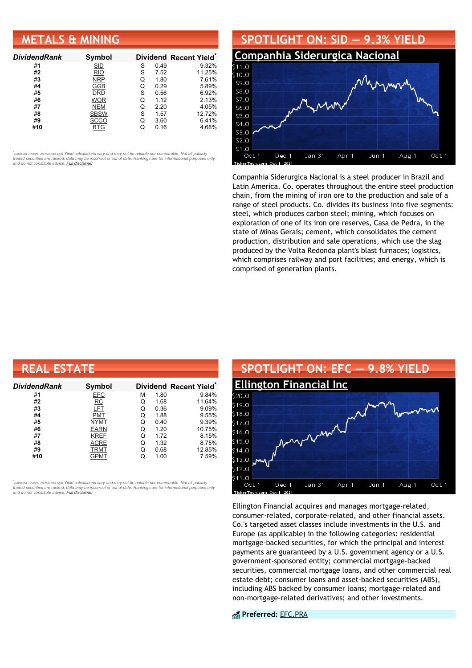### **METALS & MINING**

| <b>DividendRank</b> | Symbol      |   |      | Dividend Recent Yield* |
|---------------------|-------------|---|------|------------------------|
| #1                  | <b>SID</b>  | S | 0.49 | 9.32%                  |
| #2                  | <b>RIO</b>  | S | 7.52 | 11.25%                 |
| #3                  | <b>NRP</b>  | Q | 1.80 | 7.61%                  |
| #4                  | GGB         | Q | 0.29 | 5.89%                  |
| #5                  | DRD         | S | 0.56 | 6.92%                  |
| #6                  | WOR         | O | 1.12 | 2.13%                  |
| #7                  | <b>NEM</b>  | Q | 2.20 | 4.05%                  |
| #8                  | <b>SBSW</b> | S | 1.57 | 12.72%                 |
| #9                  | SCCO        | Q | 3.60 | 6.41%                  |
| #10                 | BTG         |   | 0.16 | 4.68%                  |

•<br>"<sub>(updated 7 hours, 20 minutes ago) Yield calculations vary and may not be reliable nor comparable. Not all publicly<br>traded securities are ranked; data may be incorrect or out of date. Rankings are for informational purp</sub> *and do not constitute advice. Full [disclaimer](https://www.dividendchannel.com/disclaimer/)*



Companhia Siderurgica Nacional is a steel producer in Brazil and Latin America. Co. operates throughout the entire steel production chain, from the mining of iron ore to the production and sale of a range of steel products. Co. divides its business into five segments: steel, which produces carbon steel; mining, which focuses on exploration of one of its iron ore reserves, Casa de Pedra, in the state of Minas Gerais; cement, which consolidates the cement production, distribution and sale operations, which use the slag produced by the Volta Redonda plant's blast furnaces; logistics, which comprises railway and port facilities; and energy, which is comprised of generation plants.

| <b>REAL ESTATE</b> |             |   |      |                        |  |  |
|--------------------|-------------|---|------|------------------------|--|--|
| DividendRank       | Symbol      |   |      | Dividend Recent Yield* |  |  |
| #1                 | <b>EFC</b>  | м | 1.80 | 9.84%                  |  |  |
| #2                 | RC          | Q | 1.68 | 11.64%                 |  |  |
| #3                 | LFT         | Q | 0.36 | 9.09%                  |  |  |
| #4                 | PMT         | Q | 1.88 | 9.55%                  |  |  |
| #5                 | <b>NYMT</b> | Q | 0.40 | 9.39%                  |  |  |
| #6                 | <b>EARN</b> | Q | 1.20 | 10.75%                 |  |  |
| #7                 | <b>KREF</b> | Q | 1.72 | 8.15%                  |  |  |
| #8                 | <b>ACRE</b> | Q | 1.32 | 8.75%                  |  |  |
| #9                 | TRMT        | Q | 0.68 | 12.85%                 |  |  |
| #10                | <b>GPMT</b> | Q | 1.00 | 7.59%                  |  |  |

*\** ated 7 hours, 20 minutes ago) Yield calculations vary and may not be reliable nor comparable. Not all publicly traded securities are ranked; data may be incorrect or out of date. Rankings are for informational purposes only *and do not constitute advice. Full [disclaimer](https://www.dividendchannel.com/disclaimer/)*



Ellington Financial acquires and manages mortgage-related, consumer-related, corporate-related, and other financial assets. Co.'s targeted asset classes include investments in the U.S. and Europe (as applicable) in the following categories: residential mortgage-backed securities, for which the principal and interest payments are guaranteed by a U.S. government agency or a U.S. government-sponsored entity; commercial mortgage-backed securities, commercial mortgage loans, and other commercial real estate debt; consumer loans and asset-backed securities (ABS), including ABS backed by consumer loans; mortgage-related and non-mortgage-related derivatives; and other investments.

**Preferred:** [EFC.PRA](https://www.preferredstockchannel.com/symbol/efc.pra/)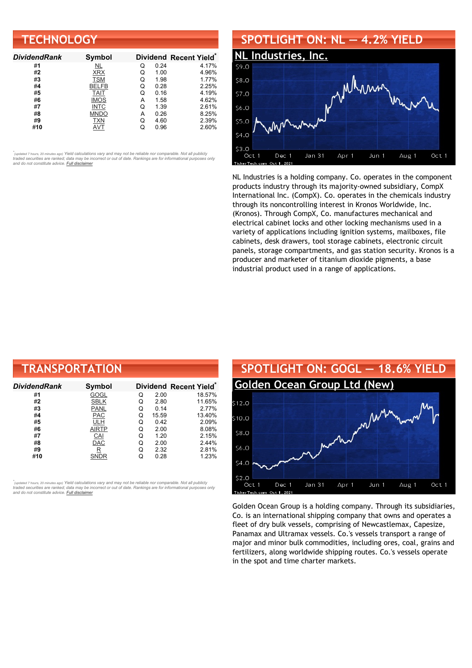| <b>TECHNOLOGY</b>   |               |   |      |                                    |  |
|---------------------|---------------|---|------|------------------------------------|--|
| <b>DividendRank</b> | <b>Symbol</b> |   |      | Dividend Recent Yield <sup>®</sup> |  |
| #1                  | NL            | Q | 0.24 | 4.17%                              |  |
| #2                  | <b>XRX</b>    | Q | 1.00 | 4.96%                              |  |
| #3                  | <b>TSM</b>    | Q | 1.98 | 1.77%                              |  |
| #4                  | <b>BELFB</b>  | Q | 0.28 | 2.25%                              |  |
| #5                  | <b>TAIT</b>   | Q | 0.16 | 4.19%                              |  |
| #6                  | <b>IMOS</b>   | А | 1.58 | 4.62%                              |  |
| #7                  | <b>INTC</b>   | Q | 1.39 | 2.61%                              |  |
| #8                  | <b>MNDO</b>   | А | 0.26 | 8.25%                              |  |
| #9                  | <b>TXN</b>    | Q | 4.60 | 2.39%                              |  |
| #10                 | AVT           | Q | 0.96 | 2.60%                              |  |

## **SPOTLIGHT ON: NL — 4.2% YIELD**



NL Industries is a holding company. Co. operates in the component products industry through its majority-owned subsidiary, CompX International Inc. (CompX). Co. operates in the chemicals industry through its noncontrolling interest in Kronos Worldwide, Inc. (Kronos). Through CompX, Co. manufactures mechanical and electrical cabinet locks and other locking mechanisms used in a variety of applications including ignition systems, mailboxes, file cabinets, desk drawers, tool storage cabinets, electronic circuit panels, storage compartments, and gas station security. Kronos is a producer and marketer of titanium dioxide pigments, a base industrial product used in a range of applications.

| <b>TRANSPORTATION</b> |                         |   |       |                        |
|-----------------------|-------------------------|---|-------|------------------------|
| DividendRank          | Symbol                  |   |       | Dividend Recent Yield* |
| #1                    | GOGL                    | Q | 2.00  | 18.57%                 |
| #2                    | <b>SBLK</b>             | Q | 2.80  | 11.65%                 |
| #3                    | <b>PANL</b>             | Q | 0.14  | 2.77%                  |
| #4                    | <b>PAC</b>              | Q | 15.59 | 13.40%                 |
| #5                    | ULH                     | Q | 0.42  | 2.09%                  |
| #6                    | AIRTP                   | Q | 2.00  | 8.08%                  |
| #7                    | CAI                     | Q | 1.20  | 2.15%                  |
| #8                    | <b>DAC</b>              | Q | 2.00  | 2.44%                  |
| #9                    | $\overline{\mathsf{R}}$ | Q | 2.32  | 2.81%                  |
| #10                   | <b>SNDR</b>             | Q | 0.28  | 1.23%                  |

*\** ated 7 hours, 20 minutes ago) Yield calculations vary and may not be reliable nor comparable. Not all publicly traded securities are ranked; data may be incorrect or out of date. Rankings are for informational purposes only *and do not constitute advice. Full [disclaimer](https://www.dividendchannel.com/disclaimer/)*



Golden Ocean Group is a holding company. Through its subsidiaries, Co. is an international shipping company that owns and operates a fleet of dry bulk vessels, comprising of Newcastlemax, Capesize, Panamax and Ultramax vessels. Co.'s vessels transport a range of major and minor bulk commodities, including ores, coal, grains and fertilizers, along worldwide shipping routes. Co.'s vessels operate in the spot and time charter markets.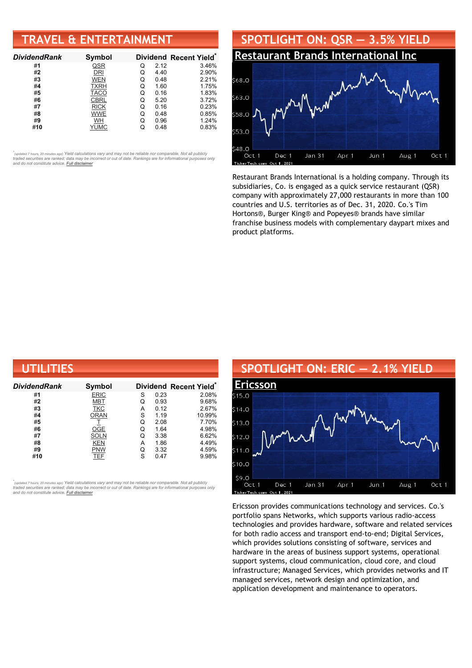### **TRAVEL & ENTERTAINMENT**

| <b>DividendRank</b> | Symbol      |   |      | Dividend Recent Yield* |
|---------------------|-------------|---|------|------------------------|
| #1                  | QSR         | Q | 2.12 | 3.46%                  |
| #2                  | DRI         | Q | 4.40 | 2.90%                  |
| #3                  | <b>WEN</b>  | Q | 0.48 | 2.21%                  |
| #4                  | <b>TXRH</b> | Q | 1.60 | 1.75%                  |
| #5                  | <b>TACO</b> | Q | 0.16 | 1.83%                  |
| #6                  | <b>CBRL</b> | Q | 5.20 | 3.72%                  |
| #7                  | <b>RICK</b> | Q | 0.16 | 0.23%                  |
| #8                  | <b>WWE</b>  | Q | 0.48 | 0.85%                  |
| #9                  | <b>WH</b>   | Q | 0.96 | 1.24%                  |
| #10                 | YUMC        |   | 0.48 | 0.83%                  |

•<br>"<sub>(updated 7 hours, 20 minutes ago) Yield calculations vary and may not be reliable nor comparable. Not all publicly<br>traded securities are ranked; data may be incorrect or out of date. Rankings are for informational purp</sub> *and do not constitute advice. Full [disclaimer](https://www.dividendchannel.com/disclaimer/)*



Restaurant Brands International is a holding company. Through its subsidiaries, Co. is engaged as a quick service restaurant (QSR) company with approximately 27,000 restaurants in more than 100 countries and U.S. territories as of Dec. 31, 2020. Co.'s Tim Hortons®, Burger King® and Popeyes® brands have similar franchise business models with complementary daypart mixes and product platforms.

| UTILITIES           |             |   |      |                       |  |  |
|---------------------|-------------|---|------|-----------------------|--|--|
| <b>DividendRank</b> | Symbol      |   |      | Dividend Recent Yield |  |  |
| #1                  | <b>ERIC</b> | S | 0.23 | 2.08%                 |  |  |
| #2                  | <b>MBT</b>  | Q | 0.93 | 9.68%                 |  |  |
| #3                  | <b>TKC</b>  | Α | 0.12 | 2.67%                 |  |  |
| #4                  | <b>ORAN</b> | S | 1.19 | 10.99%                |  |  |
| #5                  |             | Q | 2.08 | 7.70%                 |  |  |
| #6                  | OGE         | Q | 1.64 | 4.98%                 |  |  |
| #7                  | SOLN        | Q | 3.38 | 6.62%                 |  |  |
| #8                  | KEN         | А | 1.86 | 4.49%                 |  |  |
| #9                  | <b>PNW</b>  | Q | 3.32 | 4.59%                 |  |  |
| #10                 | TEF         | S | 0.47 | 9.98%                 |  |  |

,<br>"<sub>(updated 7 hours, 20 minutes ago) Yield calculations vary and may not be reliable nor comparable. Not all publicly<br>traded securities are ranked; data may be incorrect or out of date. Rankings are for informational purp</sub> *and do not constitute advice. Full [disclaimer](https://www.dividendchannel.com/disclaimer/)*

#### **SPOTLIGHT ON: ERIC — 2.1% YIELD [Ericsson](http://www.dividendchannel.com/symbol/eric/)** 515.0  $(14.0)$ 513.0  $12.0$  $31.0$  $.10.0$ \$9.0 Jan 31 Oct 1 Dec 1 Apr 1 Jun 1 Aug 1 Oct 1

Ericsson provides communications technology and services. Co.'s portfolio spans Networks, which supports various radio-access technologies and provides hardware, software and related services for both radio access and transport end-to-end; Digital Services, which provides solutions consisting of software, services and hardware in the areas of business support systems, operational support systems, cloud communication, cloud core, and cloud infrastructure; Managed Services, which provides networks and IT managed services, network design and optimization, and application development and maintenance to operators.

erTecl

Oct 1, 202